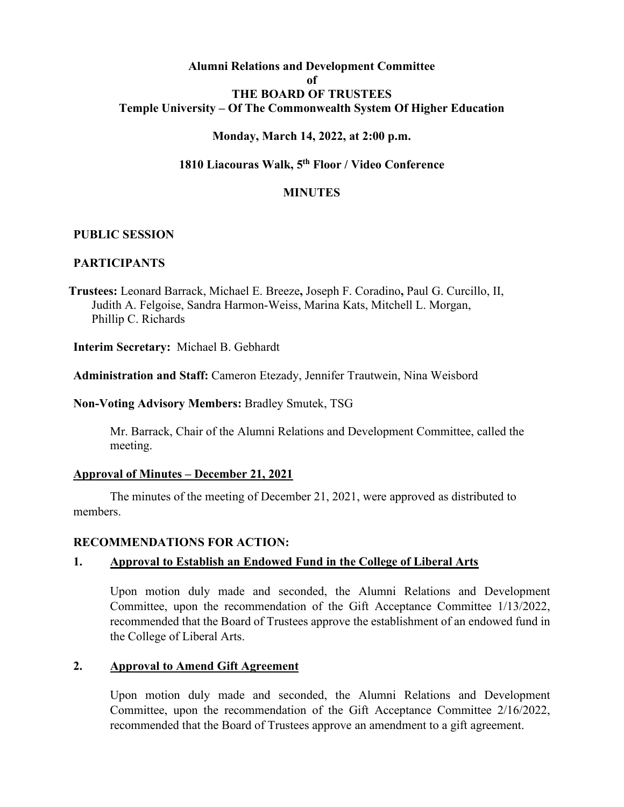# **Alumni Relations and Development Committee of THE BOARD OF TRUSTEES Temple University – Of The Commonwealth System Of Higher Education**

## **Monday, March 14, 2022, at 2:00 p.m.**

## **1810 Liacouras Walk, 5th Floor / Video Conference**

### **MINUTES**

### **PUBLIC SESSION**

## **PARTICIPANTS**

**Trustees:** Leonard Barrack, Michael E. Breeze**,** Joseph F. Coradino**,** Paul G. Curcillo, II, Judith A. Felgoise, Sandra Harmon-Weiss, Marina Kats, Mitchell L. Morgan, Phillip C. Richards

**Interim Secretary:** Michael B. Gebhardt

**Administration and Staff:** Cameron Etezady, Jennifer Trautwein, Nina Weisbord

**Non-Voting Advisory Members:** Bradley Smutek, TSG

Mr. Barrack, Chair of the Alumni Relations and Development Committee, called the meeting.

## **Approval of Minutes – December 21, 2021**

The minutes of the meeting of December 21, 2021, were approved as distributed to members.

#### **RECOMMENDATIONS FOR ACTION:**

## **1. Approval to Establish an Endowed Fund in the College of Liberal Arts**

Upon motion duly made and seconded, the Alumni Relations and Development Committee, upon the recommendation of the Gift Acceptance Committee 1/13/2022, recommended that the Board of Trustees approve the establishment of an endowed fund in the College of Liberal Arts.

## **2. Approval to Amend Gift Agreement**

Upon motion duly made and seconded, the Alumni Relations and Development Committee, upon the recommendation of the Gift Acceptance Committee 2/16/2022, recommended that the Board of Trustees approve an amendment to a gift agreement.